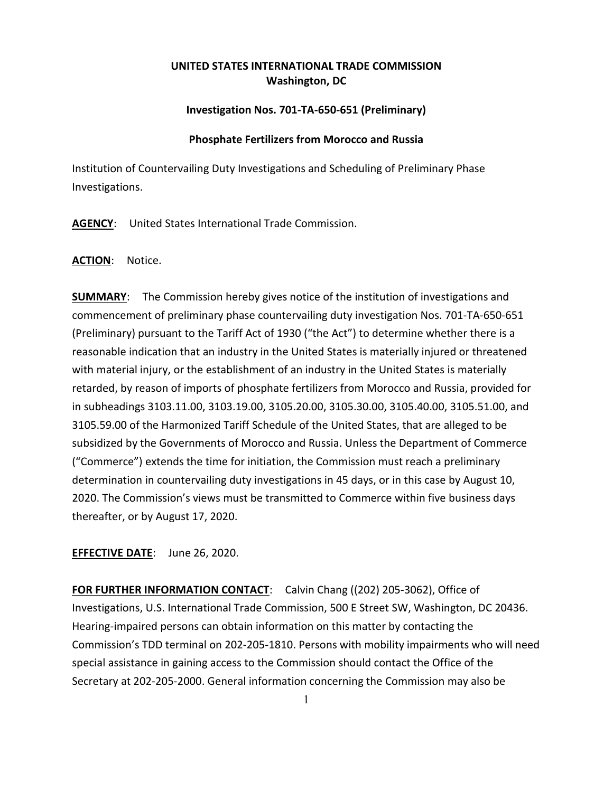# **UNITED STATES INTERNATIONAL TRADE COMMISSION Washington, DC**

## **Investigation Nos. 701-TA-650-651 (Preliminary)**

### **Phosphate Fertilizers from Morocco and Russia**

Institution of Countervailing Duty Investigations and Scheduling of Preliminary Phase Investigations.

**AGENCY**: United States International Trade Commission.

### **ACTION**: Notice.

**SUMMARY:** The Commission hereby gives notice of the institution of investigations and commencement of preliminary phase countervailing duty investigation Nos. 701-TA-650-651 (Preliminary) pursuant to the Tariff Act of 1930 ("the Act") to determine whether there is a reasonable indication that an industry in the United States is materially injured or threatened with material injury, or the establishment of an industry in the United States is materially retarded, by reason of imports of phosphate fertilizers from Morocco and Russia, provided for in subheadings 3103.11.00, 3103.19.00, 3105.20.00, 3105.30.00, 3105.40.00, 3105.51.00, and 3105.59.00 of the Harmonized Tariff Schedule of the United States, that are alleged to be subsidized by the Governments of Morocco and Russia. Unless the Department of Commerce ("Commerce") extends the time for initiation, the Commission must reach a preliminary determination in countervailing duty investigations in 45 days, or in this case by August 10, 2020. The Commission's views must be transmitted to Commerce within five business days thereafter, or by August 17, 2020.

## **EFFECTIVE DATE**: June 26, 2020.

**FOR FURTHER INFORMATION CONTACT**: Calvin Chang ((202) 205-3062), Office of Investigations, U.S. International Trade Commission, 500 E Street SW, Washington, DC 20436. Hearing-impaired persons can obtain information on this matter by contacting the Commission's TDD terminal on 202-205-1810. Persons with mobility impairments who will need special assistance in gaining access to the Commission should contact the Office of the Secretary at 202-205-2000. General information concerning the Commission may also be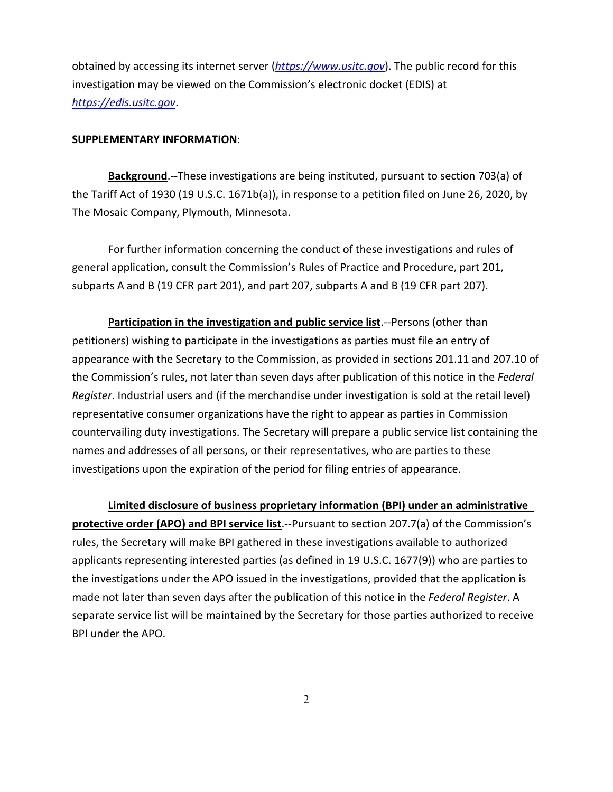obtained by accessing its internet server (*[https://www.usitc.gov](https://www.usitc.gov/)*). The public record for this investigation may be viewed on the Commission's electronic docket (EDIS) at *[https://edis.usitc.gov](https://edis.usitc.gov/)*.

#### **SUPPLEMENTARY INFORMATION**:

**Background**.--These investigations are being instituted, pursuant to section 703(a) of the Tariff Act of 1930 (19 U.S.C. 1671b(a)), in response to a petition filed on June 26, 2020, by The Mosaic Company, Plymouth, Minnesota.

For further information concerning the conduct of these investigations and rules of general application, consult the Commission's Rules of Practice and Procedure, part 201, subparts A and B (19 CFR part 201), and part 207, subparts A and B (19 CFR part 207).

**Participation in the investigation and public service list**.--Persons (other than petitioners) wishing to participate in the investigations as parties must file an entry of appearance with the Secretary to the Commission, as provided in sections 201.11 and 207.10 of the Commission's rules, not later than seven days after publication of this notice in the *Federal Register*. Industrial users and (if the merchandise under investigation is sold at the retail level) representative consumer organizations have the right to appear as parties in Commission countervailing duty investigations. The Secretary will prepare a public service list containing the names and addresses of all persons, or their representatives, who are parties to these investigations upon the expiration of the period for filing entries of appearance.

**Limited disclosure of business proprietary information (BPI) under an administrative protective order (APO) and BPI service list**.--Pursuant to section 207.7(a) of the Commission's rules, the Secretary will make BPI gathered in these investigations available to authorized applicants representing interested parties (as defined in 19 U.S.C. 1677(9)) who are parties to the investigations under the APO issued in the investigations, provided that the application is made not later than seven days after the publication of this notice in the *Federal Register*. A separate service list will be maintained by the Secretary for those parties authorized to receive BPI under the APO.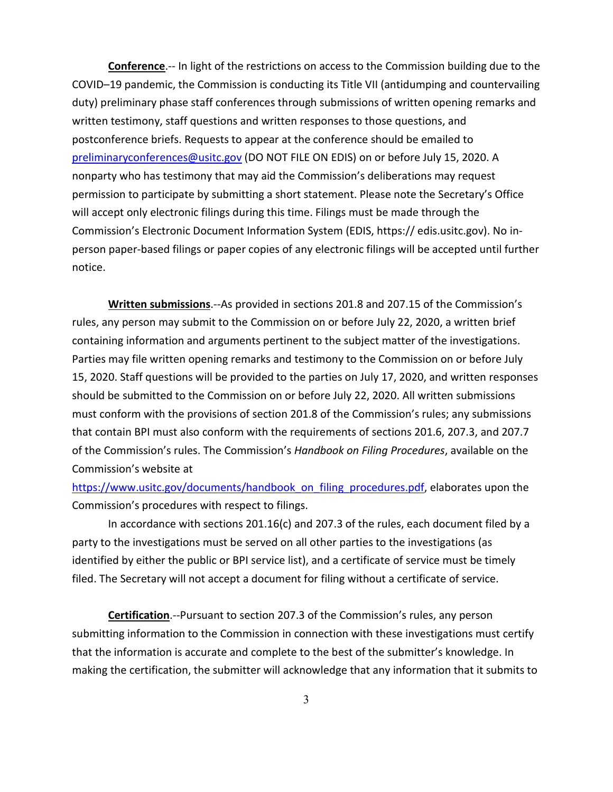**Conference**.-- In light of the restrictions on access to the Commission building due to the COVID–19 pandemic, the Commission is conducting its Title VII (antidumping and countervailing duty) preliminary phase staff conferences through submissions of written opening remarks and written testimony, staff questions and written responses to those questions, and postconference briefs. Requests to appear at the conference should be emailed to [preliminaryconferences@usitc.gov](mailto:preliminaryconferences@usitc.gov) (DO NOT FILE ON EDIS) on or before July 15, 2020. A nonparty who has testimony that may aid the Commission's deliberations may request permission to participate by submitting a short statement. Please note the Secretary's Office will accept only electronic filings during this time. Filings must be made through the Commission's Electronic Document Information System (EDIS, https:// edis.usitc.gov). No inperson paper-based filings or paper copies of any electronic filings will be accepted until further notice.

**Written submissions**.--As provided in sections 201.8 and 207.15 of the Commission's rules, any person may submit to the Commission on or before July 22, 2020, a written brief containing information and arguments pertinent to the subject matter of the investigations. Parties may file written opening remarks and testimony to the Commission on or before July 15, 2020. Staff questions will be provided to the parties on July 17, 2020, and written responses should be submitted to the Commission on or before July 22, 2020. All written submissions must conform with the provisions of section 201.8 of the Commission's rules; any submissions that contain BPI must also conform with the requirements of sections 201.6, 207.3, and 207.7 of the Commission's rules. The Commission's *Handbook on Filing Procedures*, available on the Commission's website at

[https://www.usitc.gov/documents/handbook\\_on\\_filing\\_procedures.pdf,](https://www.usitc.gov/documents/handbook_on_filing_procedures.pdf) elaborates upon the Commission's procedures with respect to filings.

In accordance with sections 201.16(c) and 207.3 of the rules, each document filed by a party to the investigations must be served on all other parties to the investigations (as identified by either the public or BPI service list), and a certificate of service must be timely filed. The Secretary will not accept a document for filing without a certificate of service.

**Certification**.--Pursuant to section 207.3 of the Commission's rules, any person submitting information to the Commission in connection with these investigations must certify that the information is accurate and complete to the best of the submitter's knowledge. In making the certification, the submitter will acknowledge that any information that it submits to